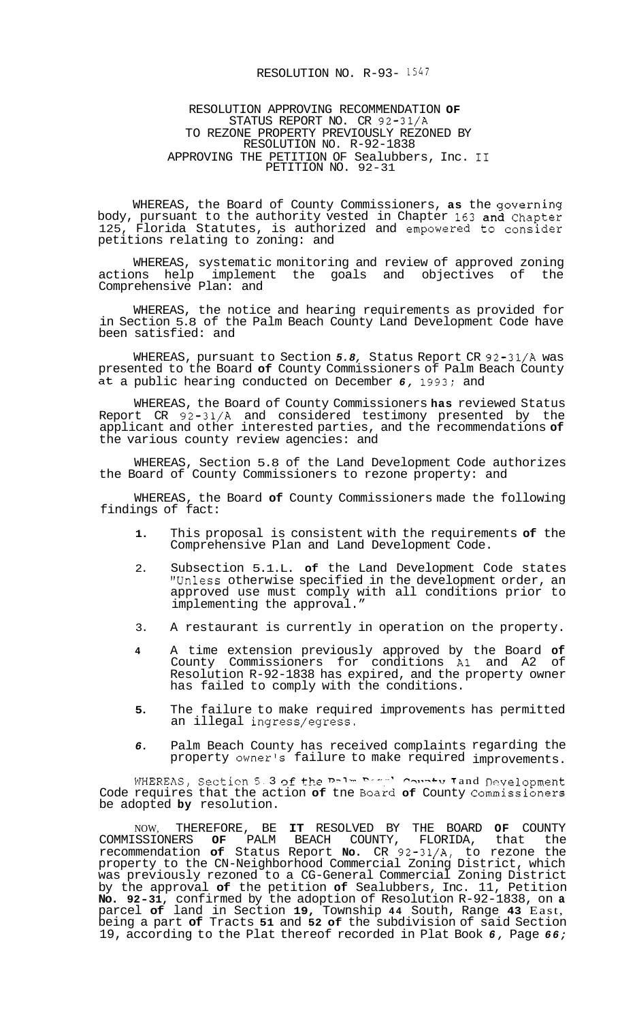## RESOLUTION NO. R-93- *1547*

## RESOLUTION APPROVING RECOMMENDATION **OF**  STATUS REPORT NO. CR 92-31/A TO REZONE PROPERTY PREVIOUSLY REZONED BY RESOLUTION NO. R-92-1838 APPROVING THE PETITION OF Sealubbers, Inc. I1 PETITION NO. 92-31

WHEREAS, the Board of County Commissioners, **as** the governing body, pursuant to the authority vested in Chapter **163** and Chapter 125, Florida Statutes, is authorized and empowered **to** consider petitions relating to zoning: and

WHEREAS, systematic monitoring and review of approved zoning actions help implement the goals and objectives of the Comprehensive Plan: and

WHEREAS, the notice and hearing requirements as provided for in Section 5.8 of the Palm Beach County Land Development Code have been satisfied: and

WHEREAS, pursuant to Section *5.8,* Status Report CR 92-31/A was presented to the Board **of** County Commissioners of Palm Beach County at a public hearing conducted on December *6,* 1993; and

WHEREAS, the Board of County Commissioners **has** reviewed Status Report CR 92-31/A and considered testimony presented by the applicant and other interested parties, and the recommendations **of**  the various county review agencies: and

WHEREAS, Section 5.8 of the Land Development Code authorizes the Board of County Commissioners to rezone property: and

WHEREAS, the Board **of** County Commissioners made the following findings of fact:

- **1.** This proposal is consistent with the requirements **of** the Comprehensive Plan and Land Development Code.
- 2. Subsection 5.1.L. **of** the Land Development Code states "Unless otherwise specified in the development order, an approved use must comply with all conditions prior to implementing the approval."
- 3. A restaurant is currently in operation on the property.
- **4** A time extension previously approved by the Board **of**  County Commissioners for conditions A1 and A2 of Resolution R-92-1838 has expired, and the property owner has failed to comply with the conditions.
- **5.** The failure to make required improvements has permitted an illegal ingress/egress.
- *6.* Palm Beach County has received complaints regarding the property owner's failure to make required improvements.

WHEREAS, Section 5.3 of the Dolm **Permit County Tand Development** Code requires that the action of tne Board of County Commissioners be adopted **by** resolution.

NOW, THEREFORE, BE **IT** RESOLVED BY THE BOARD **OF** COUNTY COMMISSIONERS **OF** PALM BEACH COUNTY, FLORIDA, that the recommendation **of** Status Report **No.** CR 92-31/A, to rezone the property to the CN-Neighborhood Commercial Zoning District, which was previously rezoned to a CG-General Commercial Zoning District by the approval **of** the petition **of** Sealubbers, Inc. 11, Petition **No. 92-31,** confirmed by the adoption of Resolution R-92-1838, on **a**  parcel **of** land in Section **19,** Township **44** South, Range **43** East, being a part **of** Tracts **51** and **52 of** the subdivision of said Section 19, according to the Plat thereof recorded in Plat Book *6,* Page *66;*